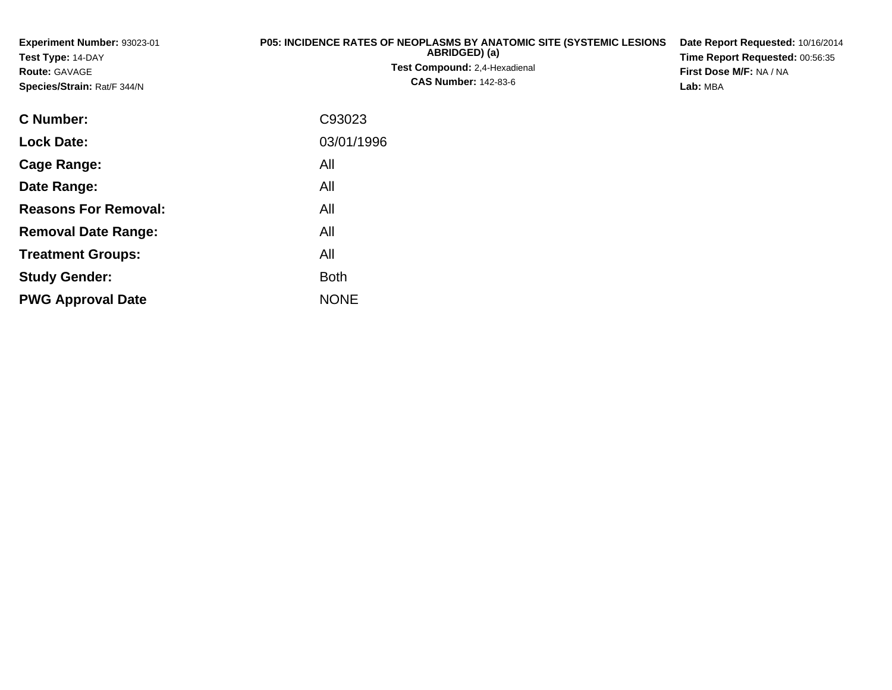**Experiment Number:** 93023-01**Test Type:** 14-DAY**Route:** GAVAGE **Species/Strain:** Rat/F 344/N**P05: INCIDENCE RATES OF NEOPLASMS BY ANATOMIC SITE (SYSTEMIC LESIONSABRIDGED) (a)Test Compound:** 2,4-Hexadienal **CAS Number:** 142-83-6**Date Report Requested:** 10/16/2014**Time Report Requested:** 00:56:35**First Dose M/F:** NA / NA**Lab:** MBA**C Number:** C93023**Lock Date:**03/01/1996

**Cage Range:** All **Date Range:** All **Reasons For Removal:** All **Removal Date Range:**: All **Treatment Groups:** All **Study Gender:Example 1** South 2 and 2 and 2 and 2 and 2 and 2 and 2 and 2 and 2 and 2 and 2 and 2 and 2 and 2 and 2 and 2 an **PWG Approval Date**NONE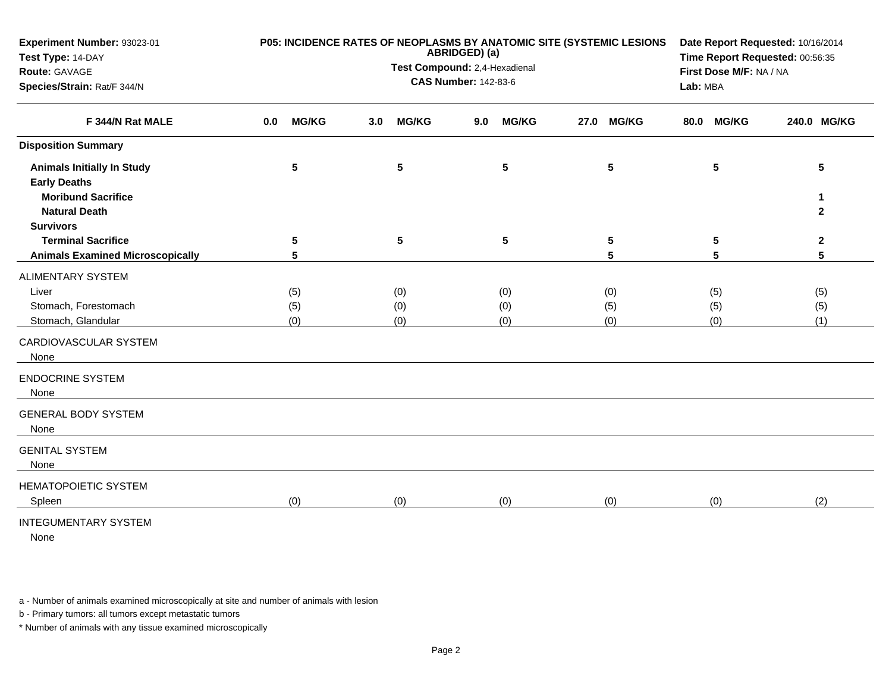| Experiment Number: 93023-01<br>Test Type: 14-DAY<br>Route: GAVAGE<br>Species/Strain: Rat/F 344/N |                     | P05: INCIDENCE RATES OF NEOPLASMS BY ANATOMIC SITE (SYSTEMIC LESIONS<br>ABRIDGED) (a)<br>Test Compound: 2,4-Hexadienal<br><b>CAS Number: 142-83-6</b> | Date Report Requested: 10/16/2014<br>Time Report Requested: 00:56:35<br>First Dose M/F: NA / NA<br>Lab: MBA |                      |                      |                 |
|--------------------------------------------------------------------------------------------------|---------------------|-------------------------------------------------------------------------------------------------------------------------------------------------------|-------------------------------------------------------------------------------------------------------------|----------------------|----------------------|-----------------|
|                                                                                                  |                     |                                                                                                                                                       |                                                                                                             |                      |                      |                 |
| F 344/N Rat MALE                                                                                 | <b>MG/KG</b><br>0.0 | <b>MG/KG</b><br>3.0                                                                                                                                   | <b>MG/KG</b><br>9.0                                                                                         | <b>MG/KG</b><br>27.0 | <b>MG/KG</b><br>80.0 | 240.0 MG/KG     |
| <b>Disposition Summary</b>                                                                       |                     |                                                                                                                                                       |                                                                                                             |                      |                      |                 |
| <b>Animals Initially In Study</b><br><b>Early Deaths</b>                                         | $5\phantom{.0}$     | $5\phantom{.0}$                                                                                                                                       | $5\phantom{.0}$                                                                                             | $5\phantom{a}$       | $5\phantom{1}$       | $5\phantom{.0}$ |
| <b>Moribund Sacrifice</b>                                                                        |                     |                                                                                                                                                       |                                                                                                             |                      |                      | 1               |
| <b>Natural Death</b>                                                                             |                     |                                                                                                                                                       |                                                                                                             |                      |                      | $\overline{2}$  |
| <b>Survivors</b><br><b>Terminal Sacrifice</b>                                                    | $\sqrt{5}$          | $5\phantom{.0}$                                                                                                                                       |                                                                                                             |                      |                      | $\mathbf{2}$    |
| <b>Animals Examined Microscopically</b>                                                          | 5                   |                                                                                                                                                       | $\sqrt{5}$                                                                                                  | ${\bf 5}$<br>5       | 5<br>5               | 5               |
| <b>ALIMENTARY SYSTEM</b>                                                                         |                     |                                                                                                                                                       |                                                                                                             |                      |                      |                 |
| Liver                                                                                            | (5)                 | (0)                                                                                                                                                   | (0)                                                                                                         | (0)                  | (5)                  | (5)             |
| Stomach, Forestomach                                                                             | (5)                 | (0)                                                                                                                                                   | (0)                                                                                                         | (5)                  | (5)                  | (5)             |
| Stomach, Glandular                                                                               | (0)                 | (0)                                                                                                                                                   | (0)                                                                                                         | (0)                  | (0)                  | (1)             |
| CARDIOVASCULAR SYSTEM<br>None                                                                    |                     |                                                                                                                                                       |                                                                                                             |                      |                      |                 |
| <b>ENDOCRINE SYSTEM</b><br>None                                                                  |                     |                                                                                                                                                       |                                                                                                             |                      |                      |                 |
| <b>GENERAL BODY SYSTEM</b><br>None                                                               |                     |                                                                                                                                                       |                                                                                                             |                      |                      |                 |
| <b>GENITAL SYSTEM</b><br>None                                                                    |                     |                                                                                                                                                       |                                                                                                             |                      |                      |                 |
| <b>HEMATOPOIETIC SYSTEM</b><br>Spleen                                                            | (0)                 | (0)                                                                                                                                                   | (0)                                                                                                         | (0)                  | (0)                  | (2)             |
| <b>INTEGUMENTARY SYSTEM</b><br><b>Nono</b>                                                       |                     |                                                                                                                                                       |                                                                                                             |                      |                      |                 |

None

a - Number of animals examined microscopically at site and number of animals with lesion

b - Primary tumors: all tumors except metastatic tumors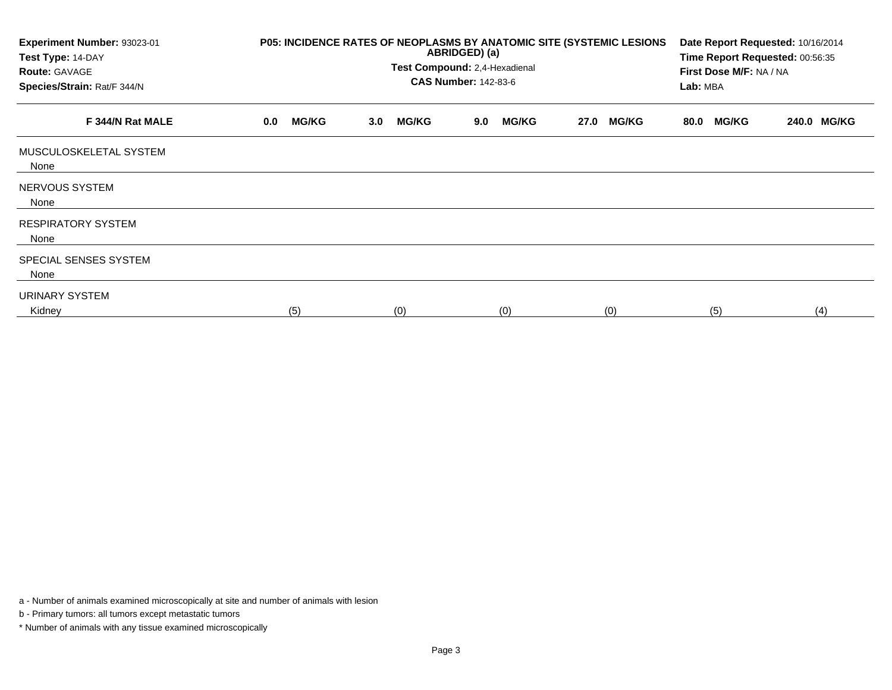| Experiment Number: 93023-01<br>Test Type: 14-DAY<br><b>Route: GAVAGE</b><br>Species/Strain: Rat/F 344/N |     | P05: INCIDENCE RATES OF NEOPLASMS BY ANATOMIC SITE (SYSTEMIC LESIONS<br>ABRIDGED) (a)<br>Test Compound: 2,4-Hexadienal<br><b>CAS Number: 142-83-6</b> |                  |              |     |              |      |              |      |              | Date Report Requested: 10/16/2014<br>Time Report Requested: 00:56:35<br>First Dose M/F: NA / NA<br>Lab: MBA |             |  |
|---------------------------------------------------------------------------------------------------------|-----|-------------------------------------------------------------------------------------------------------------------------------------------------------|------------------|--------------|-----|--------------|------|--------------|------|--------------|-------------------------------------------------------------------------------------------------------------|-------------|--|
| F 344/N Rat MALE                                                                                        | 0.0 | <b>MG/KG</b>                                                                                                                                          | 3.0 <sub>2</sub> | <b>MG/KG</b> | 9.0 | <b>MG/KG</b> | 27.0 | <b>MG/KG</b> | 80.0 | <b>MG/KG</b> |                                                                                                             | 240.0 MG/KG |  |
| MUSCULOSKELETAL SYSTEM<br>None                                                                          |     |                                                                                                                                                       |                  |              |     |              |      |              |      |              |                                                                                                             |             |  |
| NERVOUS SYSTEM<br>None                                                                                  |     |                                                                                                                                                       |                  |              |     |              |      |              |      |              |                                                                                                             |             |  |
| <b>RESPIRATORY SYSTEM</b><br>None                                                                       |     |                                                                                                                                                       |                  |              |     |              |      |              |      |              |                                                                                                             |             |  |
| SPECIAL SENSES SYSTEM<br>None                                                                           |     |                                                                                                                                                       |                  |              |     |              |      |              |      |              |                                                                                                             |             |  |
| URINARY SYSTEM<br>Kidney                                                                                | (5) |                                                                                                                                                       |                  | (0)          |     | (0)          |      | (0)          |      | (5)          |                                                                                                             | (4)         |  |

a - Number of animals examined microscopically at site and number of animals with lesion

b - Primary tumors: all tumors except metastatic tumors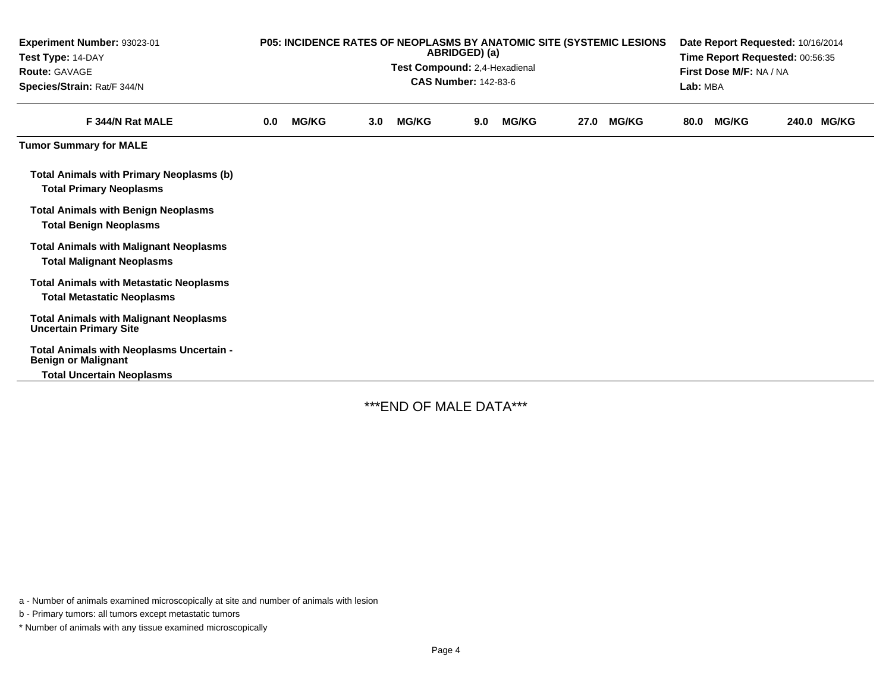| Experiment Number: 93023-01<br>Test Type: 14-DAY<br><b>Route: GAVAGE</b><br>Species/Strain: Rat/F 344/N | P05: INCIDENCE RATES OF NEOPLASMS BY ANATOMIC SITE (SYSTEMIC LESIONS<br>ABRIDGED) (a)<br>Test Compound: 2,4-Hexadienal<br><b>CAS Number: 142-83-6</b> |              |     |              |     |              |      | Date Report Requested: 10/16/2014<br>Time Report Requested: 00:56:35<br>First Dose M/F: NA / NA<br>Lab: MBA |      |              |  |             |
|---------------------------------------------------------------------------------------------------------|-------------------------------------------------------------------------------------------------------------------------------------------------------|--------------|-----|--------------|-----|--------------|------|-------------------------------------------------------------------------------------------------------------|------|--------------|--|-------------|
| F 344/N Rat MALE                                                                                        | 0.0                                                                                                                                                   | <b>MG/KG</b> | 3.0 | <b>MG/KG</b> | 9.0 | <b>MG/KG</b> | 27.0 | <b>MG/KG</b>                                                                                                | 80.0 | <b>MG/KG</b> |  | 240.0 MG/KG |
| <b>Tumor Summary for MALE</b>                                                                           |                                                                                                                                                       |              |     |              |     |              |      |                                                                                                             |      |              |  |             |
| <b>Total Animals with Primary Neoplasms (b)</b><br><b>Total Primary Neoplasms</b>                       |                                                                                                                                                       |              |     |              |     |              |      |                                                                                                             |      |              |  |             |
| <b>Total Animals with Benign Neoplasms</b><br><b>Total Benign Neoplasms</b>                             |                                                                                                                                                       |              |     |              |     |              |      |                                                                                                             |      |              |  |             |
| <b>Total Animals with Malignant Neoplasms</b><br><b>Total Malignant Neoplasms</b>                       |                                                                                                                                                       |              |     |              |     |              |      |                                                                                                             |      |              |  |             |
| <b>Total Animals with Metastatic Neoplasms</b><br><b>Total Metastatic Neoplasms</b>                     |                                                                                                                                                       |              |     |              |     |              |      |                                                                                                             |      |              |  |             |
| <b>Total Animals with Malignant Neoplasms</b><br><b>Uncertain Primary Site</b>                          |                                                                                                                                                       |              |     |              |     |              |      |                                                                                                             |      |              |  |             |
| Total Animals with Neoplasms Uncertain -<br><b>Benign or Malignant</b>                                  |                                                                                                                                                       |              |     |              |     |              |      |                                                                                                             |      |              |  |             |
| <b>Total Uncertain Neoplasms</b>                                                                        |                                                                                                                                                       |              |     |              |     |              |      |                                                                                                             |      |              |  |             |

\*\*\*END OF MALE DATA\*\*\*

a - Number of animals examined microscopically at site and number of animals with lesion

b - Primary tumors: all tumors except metastatic tumors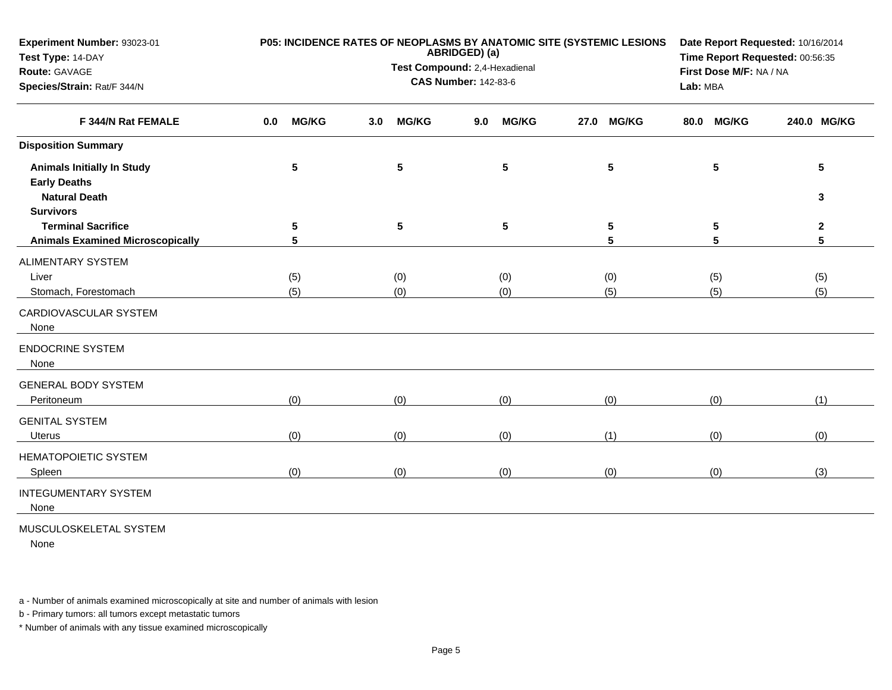| Experiment Number: 93023-01<br>Test Type: 14-DAY                                                     |                     | P05: INCIDENCE RATES OF NEOPLASMS BY ANATOMIC SITE (SYSTEMIC LESIONS<br>ABRIDGED) (a) | Date Report Requested: 10/16/2014<br>Time Report Requested: 00:56:35 |                      |                      |                   |
|------------------------------------------------------------------------------------------------------|---------------------|---------------------------------------------------------------------------------------|----------------------------------------------------------------------|----------------------|----------------------|-------------------|
| Route: GAVAGE                                                                                        |                     | Test Compound: 2,4-Hexadienal                                                         | First Dose M/F: NA / NA                                              |                      |                      |                   |
| Species/Strain: Rat/F 344/N<br>F 344/N Rat FEMALE                                                    |                     | <b>CAS Number: 142-83-6</b>                                                           | Lab: MBA                                                             |                      |                      |                   |
|                                                                                                      | <b>MG/KG</b><br>0.0 | <b>MG/KG</b><br>3.0                                                                   | <b>MG/KG</b><br>9.0                                                  | <b>MG/KG</b><br>27.0 | <b>MG/KG</b><br>80.0 | 240.0 MG/KG       |
| <b>Disposition Summary</b>                                                                           |                     |                                                                                       |                                                                      |                      |                      |                   |
| <b>Animals Initially In Study</b><br><b>Early Deaths</b><br><b>Natural Death</b><br><b>Survivors</b> | 5                   | 5                                                                                     | $5\phantom{.0}$                                                      | 5                    | 5                    | 5<br>3            |
| <b>Terminal Sacrifice</b><br><b>Animals Examined Microscopically</b>                                 | 5<br>5              | $\sqrt{5}$                                                                            | ${\bf 5}$                                                            | 5<br>5               | 5<br>5               | $\mathbf{2}$<br>5 |
| <b>ALIMENTARY SYSTEM</b>                                                                             |                     |                                                                                       |                                                                      |                      |                      |                   |
| Liver                                                                                                | (5)                 | (0)                                                                                   | (0)                                                                  | (0)                  | (5)                  | (5)               |
| Stomach, Forestomach                                                                                 | (5)                 | (0)                                                                                   | (0)                                                                  | (5)                  | (5)                  | (5)               |
| CARDIOVASCULAR SYSTEM<br>None                                                                        |                     |                                                                                       |                                                                      |                      |                      |                   |
| <b>ENDOCRINE SYSTEM</b><br>None                                                                      |                     |                                                                                       |                                                                      |                      |                      |                   |
| <b>GENERAL BODY SYSTEM</b><br>Peritoneum                                                             | (0)                 | (0)                                                                                   | (0)                                                                  | (0)                  | (0)                  | (1)               |
| <b>GENITAL SYSTEM</b>                                                                                |                     |                                                                                       |                                                                      |                      |                      |                   |
| <b>Uterus</b>                                                                                        | (0)                 | (0)                                                                                   | (0)                                                                  | (1)                  | (0)                  | (0)               |
| <b>HEMATOPOIETIC SYSTEM</b><br>Spleen                                                                | (0)                 | (0)                                                                                   | (0)                                                                  | (0)                  | (0)                  | (3)               |
| <b>INTEGUMENTARY SYSTEM</b><br>None                                                                  |                     |                                                                                       |                                                                      |                      |                      |                   |
| MUOOULOOKELETAL OVOTEM                                                                               |                     |                                                                                       |                                                                      |                      |                      |                   |

MUSCULOSKELETAL SYSTEM

None

a - Number of animals examined microscopically at site and number of animals with lesion

b - Primary tumors: all tumors except metastatic tumors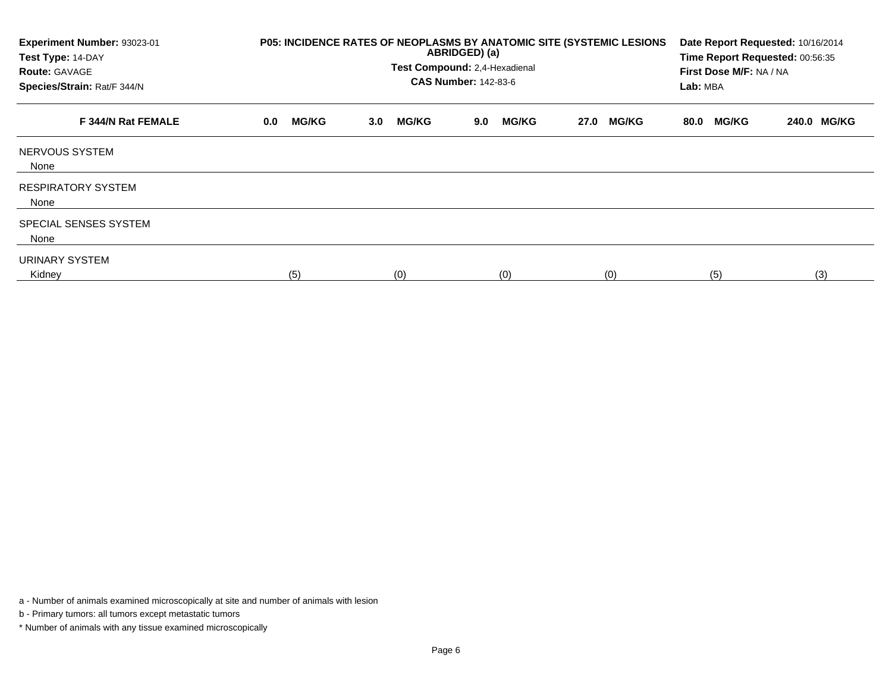| Experiment Number: 93023-01<br>Test Type: 14-DAY<br><b>Route: GAVAGE</b><br>Species/Strain: Rat/F 344/N | P05: INCIDENCE RATES OF NEOPLASMS BY ANATOMIC SITE (SYSTEMIC LESIONS | Date Report Requested: 10/16/2014<br>Time Report Requested: 00:56:35<br>First Dose M/F: NA / NA<br>Lab: MBA |                     |                      |                      |             |
|---------------------------------------------------------------------------------------------------------|----------------------------------------------------------------------|-------------------------------------------------------------------------------------------------------------|---------------------|----------------------|----------------------|-------------|
| F 344/N Rat FEMALE                                                                                      | <b>MG/KG</b><br>0.0                                                  | <b>MG/KG</b><br>3.0 <sub>2</sub>                                                                            | <b>MG/KG</b><br>9.0 | <b>MG/KG</b><br>27.0 | <b>MG/KG</b><br>80.0 | 240.0 MG/KG |
| NERVOUS SYSTEM<br>None                                                                                  |                                                                      |                                                                                                             |                     |                      |                      |             |
| <b>RESPIRATORY SYSTEM</b><br>None                                                                       |                                                                      |                                                                                                             |                     |                      |                      |             |
| SPECIAL SENSES SYSTEM<br>None                                                                           |                                                                      |                                                                                                             |                     |                      |                      |             |
| <b>URINARY SYSTEM</b><br>Kidney                                                                         | (5)                                                                  | (0)                                                                                                         | (0)                 | (0)                  | (5)                  | (3)         |

a - Number of animals examined microscopically at site and number of animals with lesion

b - Primary tumors: all tumors except metastatic tumors